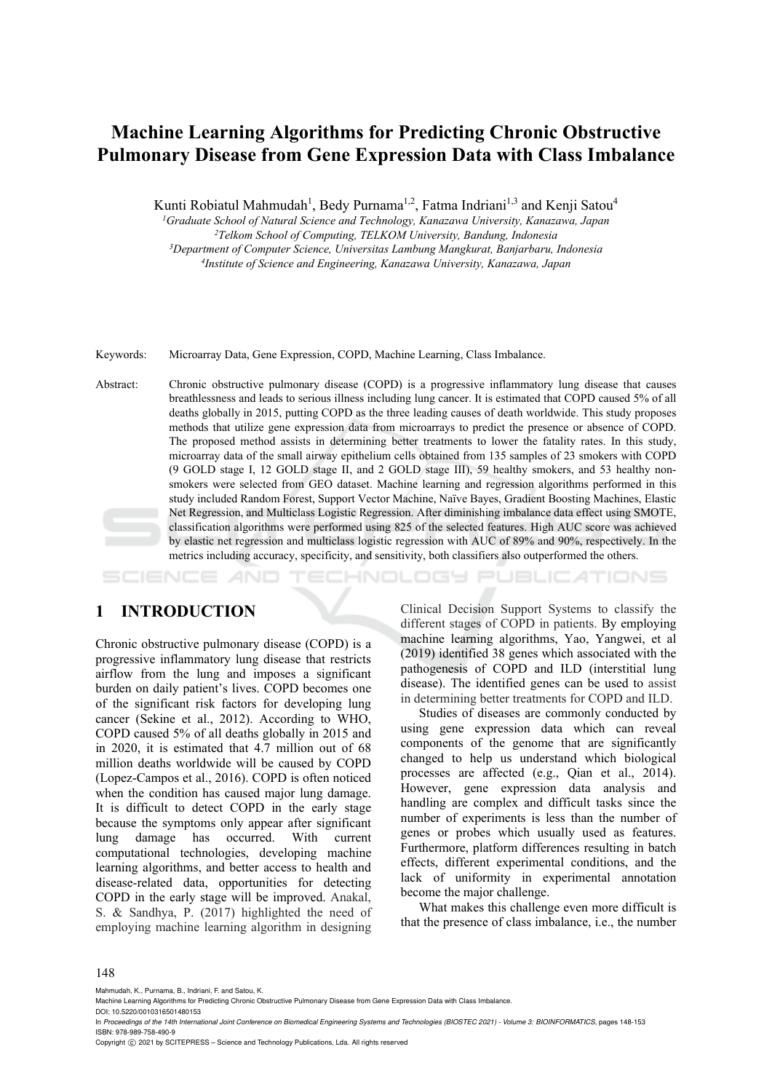# **Machine Learning Algorithms for Predicting Chronic Obstructive Pulmonary Disease from Gene Expression Data with Class Imbalance**

Kunti Robiatul Mahmudah<sup>1</sup>, Bedy Purnama<sup>1,2</sup>, Fatma Indriani<sup>1,3</sup> and Kenji Satou<sup>4</sup>

*1Graduate School of Natural Science and Technology, Kanazawa University, Kanazawa, Japan 2Telkom School of Computing, TELKOM University, Bandung, Indonesia 3* <sup>4</sup> Institute of Science and Engineering, Kanazawa University, Kanazawa, Japan

Keywords: Microarray Data, Gene Expression, COPD, Machine Learning, Class Imbalance.

Abstract: Chronic obstructive pulmonary disease (COPD) is a progressive inflammatory lung disease that causes breathlessness and leads to serious illness including lung cancer. It is estimated that COPD caused 5% of all deaths globally in 2015, putting COPD as the three leading causes of death worldwide. This study proposes methods that utilize gene expression data from microarrays to predict the presence or absence of COPD. The proposed method assists in determining better treatments to lower the fatality rates. In this study, microarray data of the small airway epithelium cells obtained from 135 samples of 23 smokers with COPD (9 GOLD stage I, 12 GOLD stage II, and 2 GOLD stage III), 59 healthy smokers, and 53 healthy nonsmokers were selected from GEO dataset. Machine learning and regression algorithms performed in this study included Random Forest, Support Vector Machine, Naïve Bayes, Gradient Boosting Machines, Elastic Net Regression, and Multiclass Logistic Regression. After diminishing imbalance data effect using SMOTE, classification algorithms were performed using 825 of the selected features. High AUC score was achieved by elastic net regression and multiclass logistic regression with AUC of 89% and 90%, respectively. In the metrics including accuracy, specificity, and sensitivity, both classifiers also outperformed the others.

---ATIONS

# **1 INTRODUCTION**

Chronic obstructive pulmonary disease (COPD) is a progressive inflammatory lung disease that restricts airflow from the lung and imposes a significant burden on daily patient's lives. COPD becomes one of the significant risk factors for developing lung cancer (Sekine et al., 2012). According to WHO, COPD caused 5% of all deaths globally in 2015 and in 2020, it is estimated that 4.7 million out of 68 million deaths worldwide will be caused by COPD (Lopez-Campos et al., 2016). COPD is often noticed when the condition has caused major lung damage. It is difficult to detect COPD in the early stage because the symptoms only appear after significant lung damage has occurred. With current computational technologies, developing machine learning algorithms, and better access to health and disease-related data, opportunities for detecting COPD in the early stage will be improved. Anakal, S. & Sandhya, P. (2017) highlighted the need of employing machine learning algorithm in designing

Clinical Decision Support Systems to classify the different stages of COPD in patients. By employing machine learning algorithms, Yao, Yangwei, et al (2019) identified 38 genes which associated with the pathogenesis of COPD and ILD (interstitial lung disease). The identified genes can be used to assist in determining better treatments for COPD and ILD.

Studies of diseases are commonly conducted by using gene expression data which can reveal components of the genome that are significantly changed to help us understand which biological processes are affected (e.g., Qian et al., 2014). However, gene expression data analysis and handling are complex and difficult tasks since the number of experiments is less than the number of genes or probes which usually used as features. Furthermore, platform differences resulting in batch effects, different experimental conditions, and the lack of uniformity in experimental annotation become the major challenge.

What makes this challenge even more difficult is that the presence of class imbalance, i.e., the number

#### 148

Mahmudah, K., Purnama, B., Indriani, F. and Satou, K.

Machine Learning Algorithms for Predicting Chronic Obstructive Pulmonary Disease from Gene Expression Data with Class Imbalance. DOI: 10.5220/0010316501480153

In *Proceedings of the 14th International Joint Conference on Biomedical Engineering Systems and Technologies (BIOSTEC 2021) - Volume 3: BIOINFORMATICS*, pages 148-153 ISBN: 978-989-758-490-9

Copyright  $©$  2021 by SCITEPRESS - Science and Technology Publications, Lda. All rights reserved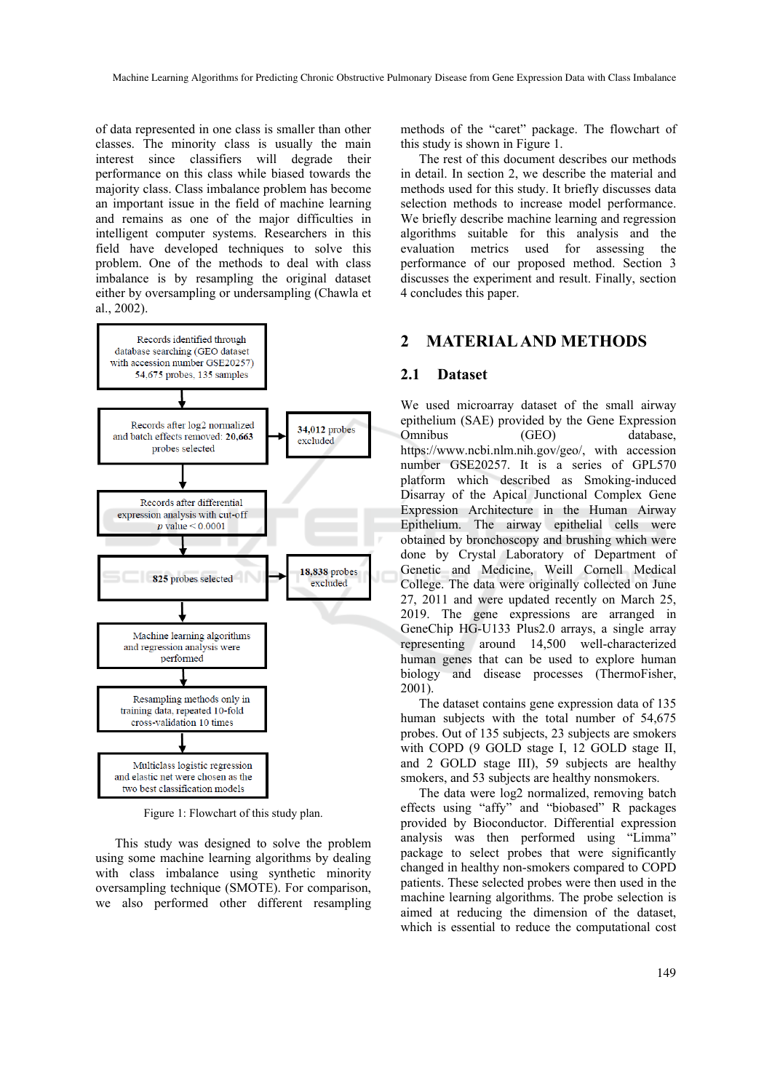of data represented in one class is smaller than other classes. The minority class is usually the main interest since classifiers will degrade their performance on this class while biased towards the majority class. Class imbalance problem has become an important issue in the field of machine learning and remains as one of the major difficulties in intelligent computer systems. Researchers in this field have developed techniques to solve this problem. One of the methods to deal with class imbalance is by resampling the original dataset either by oversampling or undersampling (Chawla et al., 2002).



Figure 1: Flowchart of this study plan.

This study was designed to solve the problem using some machine learning algorithms by dealing with class imbalance using synthetic minority oversampling technique (SMOTE). For comparison, we also performed other different resampling methods of the "caret" package. The flowchart of this study is shown in Figure 1.

The rest of this document describes our methods in detail. In section 2, we describe the material and methods used for this study. It briefly discusses data selection methods to increase model performance. We briefly describe machine learning and regression algorithms suitable for this analysis and the evaluation metrics used for assessing the performance of our proposed method. Section 3 discusses the experiment and result. Finally, section 4 concludes this paper.

### **2 MATERIAL AND METHODS**

#### **2.1 Dataset**

We used microarray dataset of the small airway epithelium (SAE) provided by the Gene Expression Omnibus (GEO) database, https://www.ncbi.nlm.nih.gov/geo/, with accession number GSE20257. It is a series of GPL570 platform which described as Smoking-induced Disarray of the Apical Junctional Complex Gene Expression Architecture in the Human Airway Epithelium. The airway epithelial cells were obtained by bronchoscopy and brushing which were done by Crystal Laboratory of Department of Genetic and Medicine, Weill Cornell Medical College. The data were originally collected on June 27, 2011 and were updated recently on March 25, 2019. The gene expressions are arranged in GeneChip HG-U133 Plus2.0 arrays, a single array representing around 14,500 well-characterized human genes that can be used to explore human biology and disease processes (ThermoFisher, 2001).

The dataset contains gene expression data of 135 human subjects with the total number of 54,675 probes. Out of 135 subjects, 23 subjects are smokers with COPD (9 GOLD stage I, 12 GOLD stage II, and 2 GOLD stage III), 59 subjects are healthy smokers, and 53 subjects are healthy nonsmokers.

The data were log2 normalized, removing batch effects using "affy" and "biobased" R packages provided by Bioconductor. Differential expression analysis was then performed using "Limma" package to select probes that were significantly changed in healthy non-smokers compared to COPD patients. These selected probes were then used in the machine learning algorithms. The probe selection is aimed at reducing the dimension of the dataset, which is essential to reduce the computational cost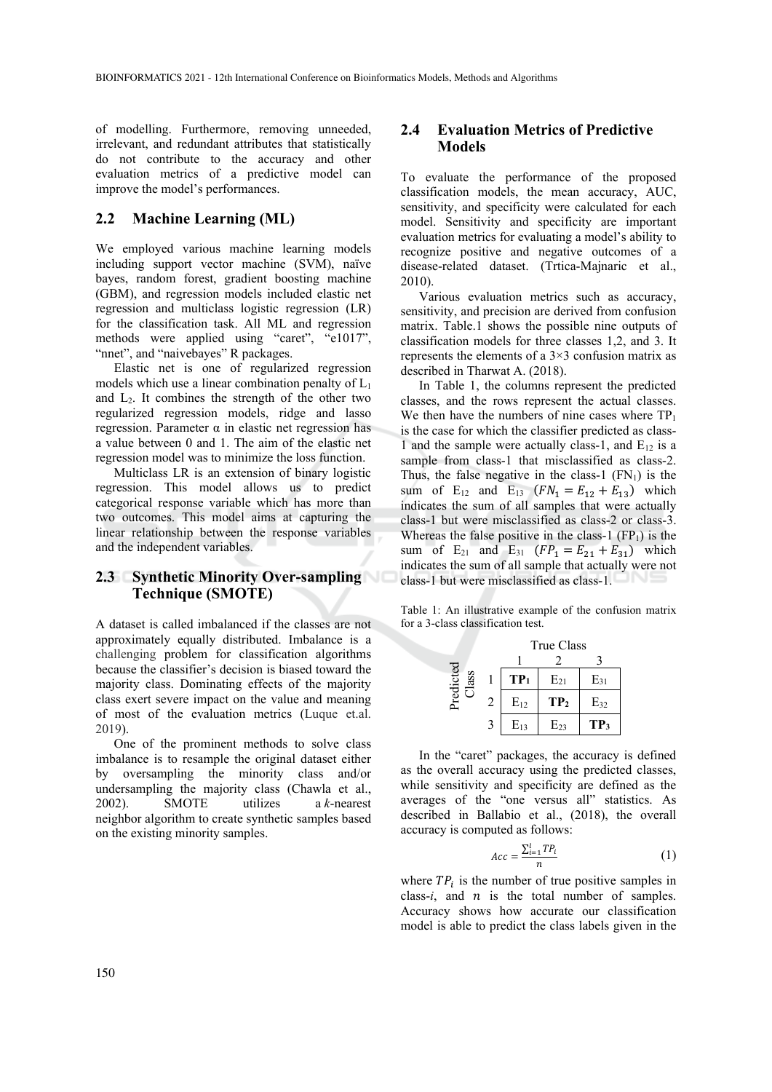of modelling. Furthermore, removing unneeded, irrelevant, and redundant attributes that statistically do not contribute to the accuracy and other evaluation metrics of a predictive model can improve the model's performances.

### **2.2 Machine Learning (ML)**

We employed various machine learning models including support vector machine (SVM), naïve bayes, random forest, gradient boosting machine (GBM), and regression models included elastic net regression and multiclass logistic regression (LR) for the classification task. All ML and regression methods were applied using "caret", "e1017", "nnet", and "naivebayes" R packages.

Elastic net is one of regularized regression models which use a linear combination penalty of  $L_1$ and  $L_2$ . It combines the strength of the other two regularized regression models, ridge and lasso regression. Parameter α in elastic net regression has a value between 0 and 1. The aim of the elastic net regression model was to minimize the loss function.

Multiclass LR is an extension of binary logistic regression. This model allows us to predict categorical response variable which has more than two outcomes. This model aims at capturing the linear relationship between the response variables and the independent variables.

### **2.3 Synthetic Minority Over-sampling Technique (SMOTE)**

A dataset is called imbalanced if the classes are not approximately equally distributed. Imbalance is a challenging problem for classification algorithms because the classifier's decision is biased toward the majority class. Dominating effects of the majority class exert severe impact on the value and meaning of most of the evaluation metrics (Luque et.al. 2019).

One of the prominent methods to solve class imbalance is to resample the original dataset either by oversampling the minority class and/or undersampling the majority class (Chawla et al., 2002). SMOTE utilizes a *k*-nearest neighbor algorithm to create synthetic samples based on the existing minority samples.

### **2.4 Evaluation Metrics of Predictive Models**

To evaluate the performance of the proposed classification models, the mean accuracy, AUC, sensitivity, and specificity were calculated for each model. Sensitivity and specificity are important evaluation metrics for evaluating a model's ability to recognize positive and negative outcomes of a disease-related dataset. (Trtica-Majnaric et al., 2010).

Various evaluation metrics such as accuracy, sensitivity, and precision are derived from confusion matrix. Table.1 shows the possible nine outputs of classification models for three classes 1,2, and 3. It represents the elements of a  $3\times3$  confusion matrix as described in Tharwat A. (2018).

In Table 1, the columns represent the predicted classes, and the rows represent the actual classes. We then have the numbers of nine cases where  $TP_1$ is the case for which the classifier predicted as class-1 and the sample were actually class-1, and  $E_{12}$  is a sample from class-1 that misclassified as class-2. Thus, the false negative in the class-1  $(FN_1)$  is the sum of  $E_{12}$  and  $E_{13}$   $(FN_1 = E_{12} + E_{13})$  which indicates the sum of all samples that were actually class-1 but were misclassified as class-2 or class-3. Whereas the false positive in the class-1  $(FP_1)$  is the sum of  $E_{21}$  and  $E_{31}$   $(FP_1 = E_{21} + E_{31})$  which indicates the sum of all sample that actually were not class-1 but were misclassified as class-1.

Table 1: An illustrative example of the confusion matrix for a 3-class classification test.

|                   |   | True Class      |                 |                 |
|-------------------|---|-----------------|-----------------|-----------------|
|                   |   |                 |                 |                 |
| Predicted<br>lass |   | TP <sub>1</sub> | $E_{21}$        | $E_{31}$        |
|                   | 2 | $E_{12}$        | TP <sub>2</sub> | $E_{32}$        |
|                   | 3 | $E_{13}$        | $E_{23}$        | TP <sub>3</sub> |

In the "caret" packages, the accuracy is defined as the overall accuracy using the predicted classes, while sensitivity and specificity are defined as the averages of the "one versus all" statistics. As described in Ballabio et al., (2018), the overall accuracy is computed as follows:

$$
Acc = \frac{\sum_{i=1}^{l} TP_i}{n} \tag{1}
$$

where  $TP_i$  is the number of true positive samples in class- $i$ , and  $n$  is the total number of samples. Accuracy shows how accurate our classification model is able to predict the class labels given in the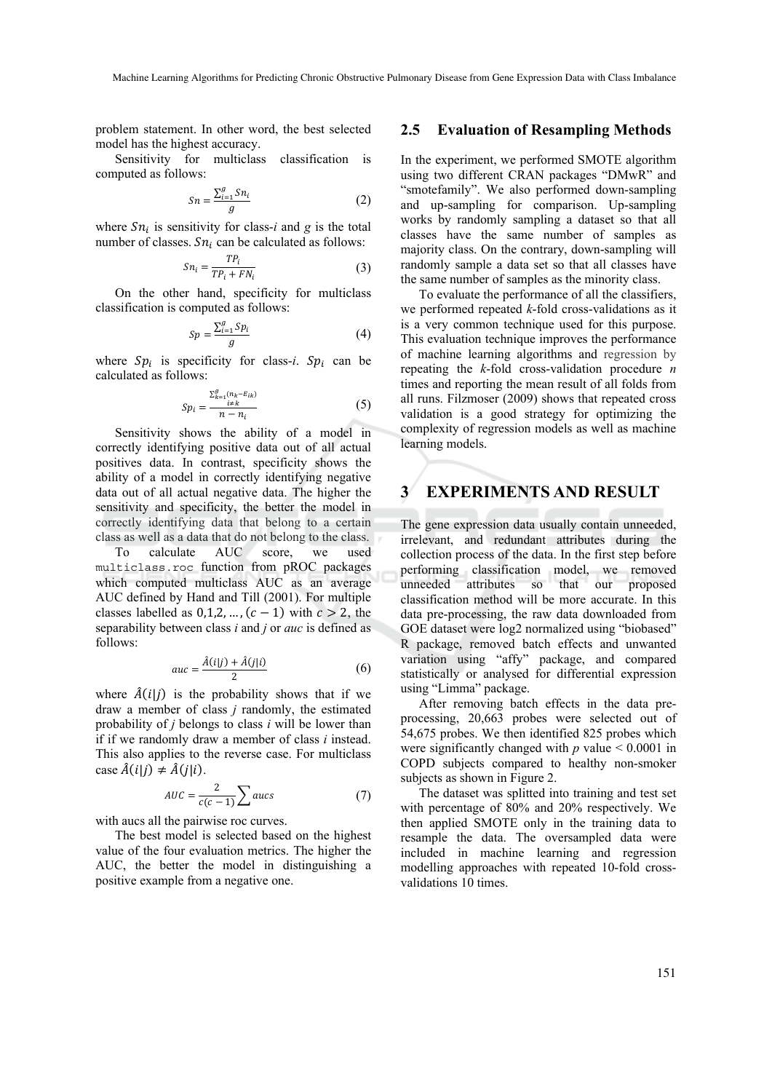problem statement. In other word, the best selected model has the highest accuracy.

Sensitivity for multiclass classification is computed as follows:

$$
Sn = \frac{\sum_{i=1}^{g} Sn_i}{g} \tag{2}
$$

where  $Sn_i$  is sensitivity for class-*i* and *g* is the total number of classes.  $Sn_i$  can be calculated as follows:

$$
Sn_i = \frac{TP_i}{TP_i + FN_i} \tag{3}
$$

On the other hand, specificity for multiclass classification is computed as follows:

$$
Sp = \frac{\sum_{i=1}^{g} Sp_i}{g} \tag{4}
$$

where  $Sp_i$  is specificity for class-*i*.  $Sp_i$  can be calculated as follows:

$$
Sp_i = \frac{\sum_{k=1}^{g} (n_k - E_{ik})}{n - n_i} \tag{5}
$$

Sensitivity shows the ability of a model in correctly identifying positive data out of all actual positives data. In contrast, specificity shows the ability of a model in correctly identifying negative data out of all actual negative data. The higher the sensitivity and specificity, the better the model in correctly identifying data that belong to a certain class as well as a data that do not belong to the class.

To calculate AUC score, we used multiclass.roc function from pROC packages which computed multiclass AUC as an average AUC defined by Hand and Till (2001). For multiple classes labelled as  $0,1,2,...$ ,  $(c-1)$  with  $c > 2$ , the separability between class *i* and *j* or *auc* is defined as follows:

$$
auc = \frac{\hat{A}(i|j) + \hat{A}(j|i)}{2} \tag{6}
$$

where  $\hat{A}(i|j)$  is the probability shows that if we draw a member of class *j* randomly, the estimated probability of *j* belongs to class *i* will be lower than if if we randomly draw a member of class *i* instead. This also applies to the reverse case. For multiclass case  $\hat{A}(i|j) \neq \hat{A}(j|i)$ .

$$
AUC = \frac{2}{c(c-1)} \sum aucs
$$
 (7)

with aucs all the pairwise roc curves.

The best model is selected based on the highest value of the four evaluation metrics. The higher the AUC, the better the model in distinguishing a positive example from a negative one.

#### **2.5 Evaluation of Resampling Methods**

In the experiment, we performed SMOTE algorithm using two different CRAN packages "DMwR" and "smotefamily". We also performed down-sampling and up-sampling for comparison. Up-sampling works by randomly sampling a dataset so that all classes have the same number of samples as majority class. On the contrary, down-sampling will randomly sample a data set so that all classes have the same number of samples as the minority class.

To evaluate the performance of all the classifiers, we performed repeated *k*-fold cross-validations as it is a very common technique used for this purpose. This evaluation technique improves the performance of machine learning algorithms and regression by repeating the *k*-fold cross-validation procedure *n*  times and reporting the mean result of all folds from all runs. Filzmoser (2009) shows that repeated cross validation is a good strategy for optimizing the complexity of regression models as well as machine learning models.

## **3 EXPERIMENTS AND RESULT**

The gene expression data usually contain unneeded, irrelevant, and redundant attributes during the collection process of the data. In the first step before performing classification model, we removed unneeded attributes so that our proposed classification method will be more accurate. In this data pre-processing, the raw data downloaded from GOE dataset were log2 normalized using "biobased" R package, removed batch effects and unwanted variation using "affy" package, and compared statistically or analysed for differential expression using "Limma" package.

After removing batch effects in the data preprocessing, 20,663 probes were selected out of 54,675 probes. We then identified 825 probes which were significantly changed with  $p$  value  $\leq 0.0001$  in COPD subjects compared to healthy non-smoker subjects as shown in Figure 2.

The dataset was splitted into training and test set with percentage of 80% and 20% respectively. We then applied SMOTE only in the training data to resample the data. The oversampled data were included in machine learning and regression modelling approaches with repeated 10-fold crossvalidations 10 times.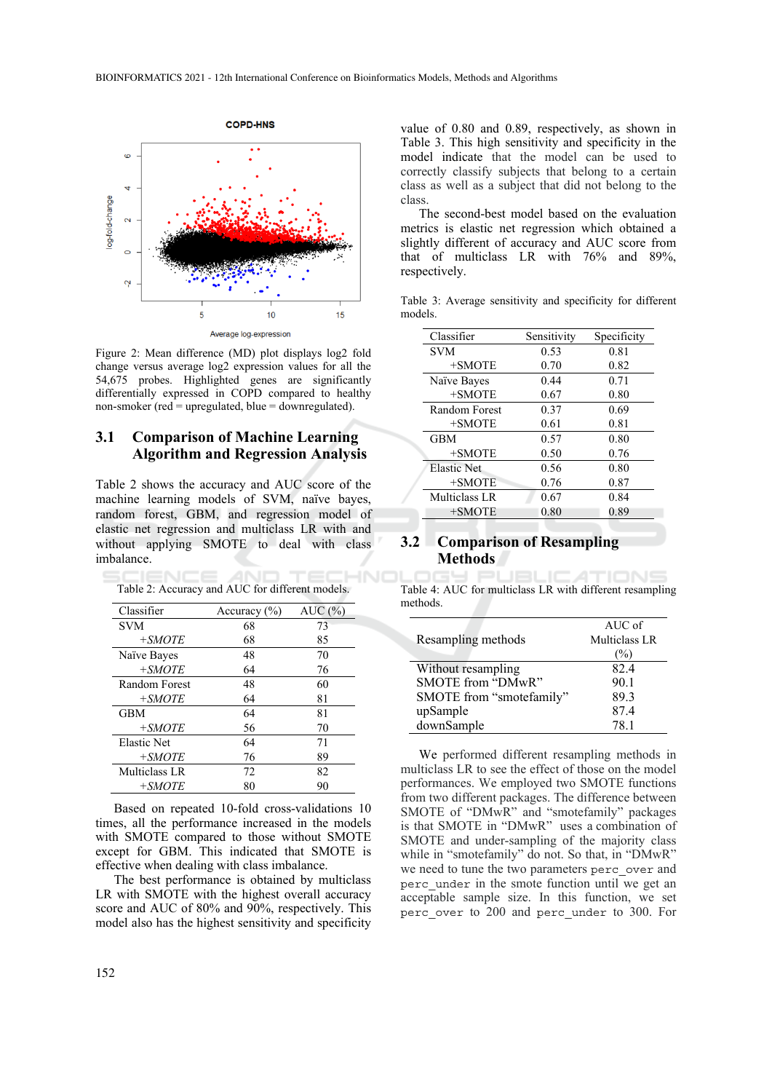

Figure 2: Mean difference (MD) plot displays log2 fold change versus average log2 expression values for all the 54,675 probes. Highlighted genes are significantly differentially expressed in COPD compared to healthy non-smoker (red = upregulated, blue = downregulated).

### **3.1 Comparison of Machine Learning Algorithm and Regression Analysis**

Table 2 shows the accuracy and AUC score of the machine learning models of SVM, naïve bayes, random forest, GBM, and regression model of elastic net regression and multiclass LR with and without applying SMOTE to deal with class imbalance.

Table 2: Accuracy and AUC for different models.

-INC

| Classifier    | Accuracy $(\% )$ | AUC(%) |
|---------------|------------------|--------|
| <b>SVM</b>    | 68               | 73     |
| $+SMOTE$      | 68               | 85     |
| Naïve Bayes   | 48               | 70     |
| $+SMOTE$      | 64               | 76     |
| Random Forest | 48               | 60     |
| $+SMOTE$      | 64               | 81     |
| <b>GBM</b>    | 64               | 81     |
| $+SMOTE$      | 56               | 70     |
| Elastic Net   | 64               | 71     |
| $+SMOTE$      | 76               | 89     |
| Multiclass LR | 72               | 82     |
| $+SMOTE$      | 80               | 90     |

Based on repeated 10-fold cross-validations 10 times, all the performance increased in the models with SMOTE compared to those without SMOTE except for GBM. This indicated that SMOTE is effective when dealing with class imbalance.

The best performance is obtained by multiclass LR with SMOTE with the highest overall accuracy score and AUC of 80% and 90%, respectively. This model also has the highest sensitivity and specificity

value of 0.80 and 0.89, respectively, as shown in Table 3. This high sensitivity and specificity in the model indicate that the model can be used to correctly classify subjects that belong to a certain class as well as a subject that did not belong to the class.

The second-best model based on the evaluation metrics is elastic net regression which obtained a slightly different of accuracy and AUC score from that of multiclass LR with 76% and 89%, respectively.

Table 3: Average sensitivity and specificity for different models.

| Classifier         | Sensitivity | Specificity |
|--------------------|-------------|-------------|
| <b>SVM</b>         | 0.53        | 0.81        |
| $+SMOTE$           | 0.70        | 0.82        |
| Naïve Bayes        | 0.44        | 0.71        |
| $+SMOTE$           | 0.67        | 0.80        |
| Random Forest      | 0.37        | 0.69        |
| +SMOTE             | 0.61        | 0.81        |
| <b>GBM</b>         | 0.57        | 0.80        |
| $+SMOTE$           | 0.50        | 0.76        |
| <b>Elastic Net</b> | 0.56        | 0.80        |
| $+SMOTE$           | 0.76        | 0.87        |
| Multiclass LR      | 0.67        | 0.84        |
| $+SMOTE$           | 0.80        | 0.89        |

#### **3.2 Comparison of Resampling Methods**

Table 4: AUC for multiclass LR with different resampling methods.

| Resampling methods       | $AUC$ of<br>Multiclass LR<br>$\%$ |
|--------------------------|-----------------------------------|
| Without resampling       | 82.4                              |
| SMOTE from "DMwR"        | 90.1                              |
| SMOTE from "smotefamily" | 89.3                              |
| upSample                 | 87.4                              |
| downSample               | 78.1                              |

We performed different resampling methods in multiclass LR to see the effect of those on the model performances. We employed two SMOTE functions from two different packages. The difference between SMOTE of "DMwR" and "smotefamily" packages is that SMOTE in "DMwR" uses a combination of SMOTE and under-sampling of the majority class while in "smotefamily" do not. So that, in "DMwR" we need to tune the two parameters perc\_over and perc\_under in the smote function until we get an acceptable sample size. In this function, we set perc\_over to 200 and perc\_under to 300. For